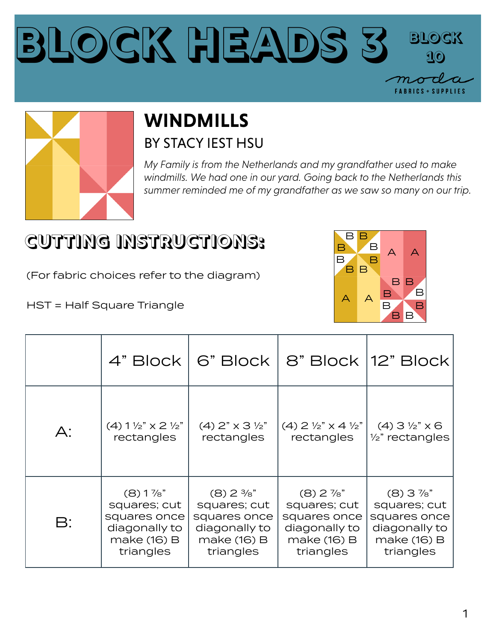



## **WINDMILLS** BY STACY IEST HSU

*My Family is from the Netherlands and my grandfather used to make windmills. We had one in our yard. Going back to the Netherlands this summer reminded me of my grandfather as we saw so many on our trip.*

## **CUTTING INSTRUCTIONS:**

(For fabric choices refer to the diagram)

HST = Half Square Triangle



|                |                                                    | 4" Block   6" Block                 |                                             | 8" Block   12" Block        |
|----------------|----------------------------------------------------|-------------------------------------|---------------------------------------------|-----------------------------|
| $A$ :          | $(4)$ 1 $\frac{1}{2}$ " $\times$ 2 $\frac{1}{2}$ " | $(4)$ 2" $\times$ 3 $\frac{1}{2}$ " | $(4)$ 2 $\frac{1}{2}$ " x 4 $\frac{1}{2}$ " | $(4)$ 3 $\frac{1}{2}$ " x 6 |
|                | rectangles                                         | rectangles                          | rectangles                                  | $\frac{1}{2}$ " rectangles  |
| $\mathsf{B}$ : | $(8)1\%$ "                                         | $(8)$ 2 $\frac{3}{8}$ "             | $(8)$ 2 $\frac{7}{8}$ "                     | $(8)$ 3 $\frac{7}{8}$ "     |
|                | squares; cut                                       | squares; cut                        | squares; cut                                | squares; cut                |
|                | squares once                                       | squares once                        | squares once                                | squares once                |
|                | diagonally to                                      | diagonally to                       | diagonally to                               | diagonally to               |
|                | make (16) B                                        | make (16) B                         | make (16) B                                 | make (16) B                 |
|                | triangles                                          | triangles                           | triangles                                   | triangles                   |